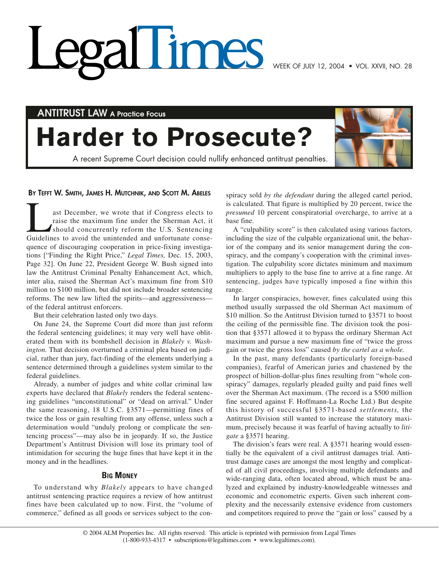# Times

**ANTITRUST LAW A Practice Focus**

# **Harder to Prosecute?**

A recent Supreme Court decision could nullify enhanced antitrust penalties.



# **BY TEFFT W. SMITH, JAMES H. MUTCHNIK, AND SCOTT M. ABELES**

ast December, we wrote that if Congress elects to raise the maximum fine under the Sherman Act, it should concurrently reform the U.S. Sentencing Guidelines to avoid the unintended and unfortunate consequence of discouraging cooperation in price-fixing investigations ["Finding the Right Price," *Legal Times,* Dec. 15, 2003, Page 32]. On June 22, President George W. Bush signed into law the Antitrust Criminal Penalty Enhancement Act, which, inter alia, raised the Sherman Act's maximum fine from \$10 million to \$100 million, but did not include broader sentencing reforms. The new law lifted the spirits—and aggressiveness of the federal antitrust enforcers.

But their celebration lasted only two days.

On June 24, the Supreme Court did more than just reform the federal sentencing guidelines; it may very well have obliterated them with its bombshell decision in *Blakely v. Washington.* That decision overturned a criminal plea based on judicial, rather than jury, fact-finding of the elements underlying a sentence determined through a guidelines system similar to the federal guidelines.

Already, a number of judges and white collar criminal law experts have declared that *Blakely* renders the federal sentencing guidelines "unconstitutional" or "dead on arrival." Under the same reasoning, 18 U.S.C. §3571—permitting fines of twice the loss or gain resulting from any offense, unless such a determination would "unduly prolong or complicate the sentencing process"—may also be in jeopardy. If so, the Justice Department's Antitrust Division will lose its primary tool of intimidation for securing the huge fines that have kept it in the money and in the headlines.

# **BIG MONEY**

To understand why *Blakely* appears to have changed antitrust sentencing practice requires a review of how antitrust fines have been calculated up to now. First, the "volume of commerce," defined as all goods or services subject to the conspiracy sold *by the defendant* during the alleged cartel period, is calculated. That figure is multiplied by 20 percent, twice the *presumed* 10 percent conspiratorial overcharge, to arrive at a base fine.

A "culpability score" is then calculated using various factors, including the size of the culpable organizational unit, the behavior of the company and its senior management during the conspiracy, and the company's cooperation with the criminal investigation. The culpability score dictates minimum and maximum multipliers to apply to the base fine to arrive at a fine range. At sentencing, judges have typically imposed a fine within this range.

In larger conspiracies, however, fines calculated using this method usually surpassed the old Sherman Act maximum of \$10 million. So the Antitrust Division turned to §3571 to boost the ceiling of the permissible fine. The division took the position that §3571 allowed it to bypass the ordinary Sherman Act maximum and pursue a new maximum fine of "twice the gross gain or twice the gross loss" caused *by the cartel as a whole.*

In the past, many defendants (particularly foreign-based companies), fearful of American juries and chastened by the prospect of billion-dollar-plus fines resulting from "whole conspiracy" damages, regularly pleaded guilty and paid fines well over the Sherman Act maximum. (The record is a \$500 million fine secured against F. Hoffmann-La Roche Ltd.) But despite this history of successful §3571-based *settlements,* the Antitrust Division still wanted to increase the statutory maximum, precisely because it was fearful of having actually to *litigate* a §3571 hearing.

The division's fears were real. A §3571 hearing would essentially be the equivalent of a civil antitrust damages trial. Antitrust damage cases are amongst the most lengthy and complicated of all civil proceedings, involving multiple defendants and wide-ranging data, often located abroad, which must be analyzed and explained by industry-knowledgeable witnesses and economic and econometric experts. Given such inherent complexity and the necessarily extensive evidence from customers and competitors required to prove the "gain or loss" caused by a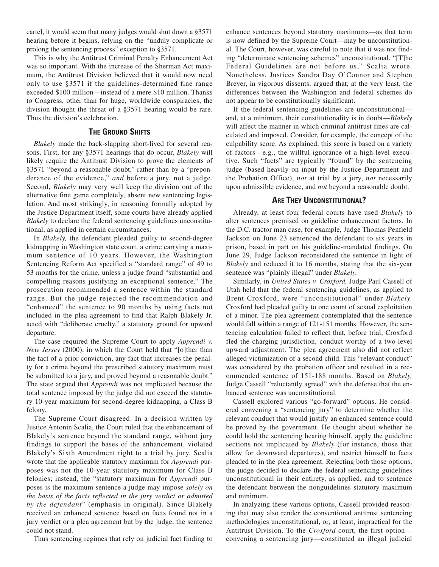cartel, it would seem that many judges would shut down a §3571 hearing before it begins, relying on the "unduly complicate or prolong the sentencing process" exception to §3571.

This is why the Antitrust Criminal Penalty Enhancement Act was so important. With the increase of the Sherman Act maximum, the Antitrust Division believed that it would now need only to use §3571 if the guidelines-determined fine range exceeded \$100 million—instead of a mere \$10 million. Thanks to Congress, other than for huge, worldwide conspiracies, the division thought the threat of a §3571 hearing would be rare. Thus the division's celebration.

### **THE GROUND SHIFTS**

*Blakely* made the back-slapping short-lived for several reasons. First, for any §3571 hearings that do occur, *Blakely* will likely require the Antitrust Division to prove the elements of §3571 "beyond a reasonable doubt," rather than by a "preponderance of the evidence," *and* before a jury, not a judge. Second, *Blakely* may very well keep the division out of the alternative fine game completely, absent new sentencing legislation. And most strikingly, in reasoning formally adopted by the Justice Department itself, some courts have already applied *Blakely* to declare the federal sentencing guidelines unconstitutional, as applied in certain circumstances.

In *Blakely,* the defendant pleaded guilty to second-degree kidnapping in Washington state court, a crime carrying a maximum sentence of 10 years. However, the Washington Sentencing Reform Act specified a "standard range" of 49 to 53 months for the crime, unless a judge found "substantial and compelling reasons justifying an exceptional sentence." The prosecution recommended a sentence within the standard range. But the judge rejected the recommendation and "enhanced" the sentence to 90 months by using facts not included in the plea agreement to find that Ralph Blakely Jr. acted with "deliberate cruelty," a statutory ground for upward departure.

The case required the Supreme Court to apply *Apprendi v. New Jersey* (2000), in which the Court held that "[o]ther than the fact of a prior conviction, any fact that increases the penalty for a crime beyond the prescribed statutory maximum must be submitted to a jury, and proved beyond a reasonable doubt." The state argued that *Apprendi* was not implicated because the total sentence imposed by the judge did not exceed the statutory 10-year maximum for second-degree kidnapping, a Class B felony.

The Supreme Court disagreed. In a decision written by Justice Antonin Scalia, the Court ruled that the enhancement of Blakely's sentence beyond the standard range, without jury findings to support the bases of the enhancement, violated Blakely's Sixth Amendment right to a trial by jury. Scalia wrote that the applicable statutory maximum for *Apprendi* purposes was not the 10-year statutory maximum for Class B felonies; instead, the "statutory maximum for *Apprendi* purposes is the maximum sentence a judge may impose *solely on the basis of the facts reflected in the jury verdict or admitted by the defendant*" (emphasis in original). Since Blakely received an enhanced sentence based on facts found not in a jury verdict or a plea agreement but by the judge, the sentence could not stand.

Thus sentencing regimes that rely on judicial fact finding to

enhance sentences beyond statutory maximums—as that term is now defined by the Supreme Court—may be unconstitutional. The Court, however, was careful to note that it was not finding "determinate sentencing schemes" unconstitutional. "[T]he Federal Guidelines are not before us," Scalia wrote. Nonetheless, Justices Sandra Day O'Connor and Stephen Breyer, in vigorous dissents, argued that, at the very least, the differences between the Washington and federal schemes do not appear to be constitutionally significant.

If the federal sentencing guidelines are unconstitutional and, at a minimum, their constitutionality is in doubt—*Blakely* will affect the manner in which criminal antitrust fines are calculated and imposed. Consider, for example, the concept of the culpability score. As explained, this score is based on a variety of factors—e.g., the willful ignorance of a high-level executive. Such "facts" are typically "found" by the sentencing judge (based heavily on input by the Justice Department and the Probation Office), *not* at trial by a jury, *not* necessarily upon admissible evidence, and *not* beyond a reasonable doubt.

#### **ARE THEY UNCONSTITUTIONAL?**

Already, at least four federal courts have used *Blakely* to alter sentences premised on guideline enhancement factors. In the D.C. tractor man case, for example, Judge Thomas Penfield Jackson on June 23 sentenced the defendant to six years in prison, based in part on his guideline-mandated findings. On June 29, Judge Jackson reconsidered the sentence in light of *Blakely* and reduced it to 16 months, stating that the six-year sentence was "plainly illegal" under *Blakely.*

Similarly, in *United States v. Croxford,* Judge Paul Cassell of Utah held that the federal sentencing guidelines, as applied to Brent Croxford, were "unconstitutional" under *Blakely.* Croxford had pleaded guilty to one count of sexual exploitation of a minor. The plea agreement contemplated that the sentence would fall within a range of 121-151 months. However, the sentencing calculation failed to reflect that, before trial, Croxford fled the charging jurisdiction, conduct worthy of a two-level upward adjustment. The plea agreement also did not reflect alleged victimization of a second child. This "relevant conduct" was considered by the probation officer and resulted in a recommended sentence of 151-188 months. Based on *Blakely,* Judge Cassell "reluctantly agreed" with the defense that the enhanced sentence was unconstitutional.

Cassell explored various "go-forward" options. He considered convening a "sentencing jury" to determine whether the relevant conduct that would justify an enhanced sentence could be proved by the government. He thought about whether he could hold the sentencing hearing himself, apply the guideline sections not implicated by *Blakely* (for instance, those that allow for downward departures), and restrict himself to facts pleaded to in the plea agreement. Rejecting both those options, the judge decided to declare the federal sentencing guidelines unconstitutional in their entirety, as applied, and to sentence the defendant between the nonguidelines statutory maximum and minimum.

In analyzing these various options, Cassell provided reasoning that may also render the conventional antitrust sentencing methodologies unconstitutional, or, at least, impractical for the Antitrust Division. To the *Croxford* court, the first option convening a sentencing jury—constituted an illegal judicial